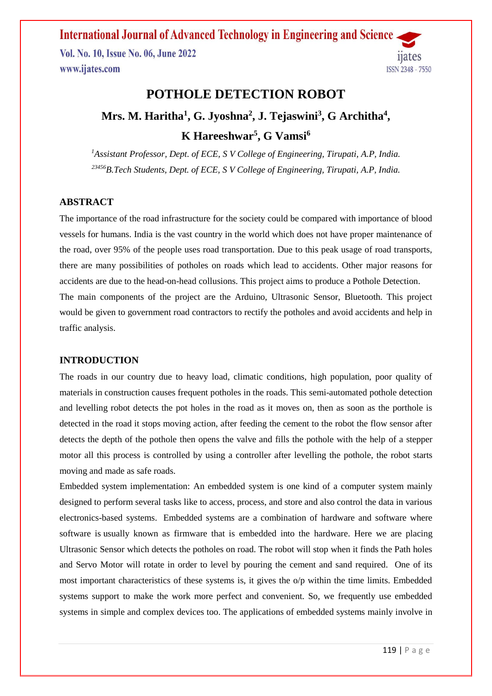Vol. No. 10, Issue No. 06, June 2022 www.ijates.com



## **POTHOLE DETECTION ROBOT**

# **Mrs. M. Haritha<sup>1</sup> , G. Jyoshna<sup>2</sup> , J. Tejaswini<sup>3</sup> , G Architha<sup>4</sup> , K Hareeshwar<sup>5</sup> , G Vamsi<sup>6</sup>**

*<sup>1</sup>Assistant Professor, Dept. of ECE, S V College of Engineering, Tirupati, A.P, India. <sup>23456</sup>B.Tech Students, Dept. of ECE, S V College of Engineering, Tirupati, A.P, India.*

#### **ABSTRACT**

The importance of the road infrastructure for the society could be compared with importance of blood vessels for humans. India is the vast country in the world which does not have proper maintenance of the road, over 95% of the people uses road transportation. Due to this peak usage of road transports, there are many possibilities of potholes on roads which lead to accidents. Other major reasons for accidents are due to the head-on-head collusions. This project aims to produce a Pothole Detection. The main components of the project are the Arduino, Ultrasonic Sensor, Bluetooth. This project would be given to government road contractors to rectify the potholes and avoid accidents and help in traffic analysis.

#### **INTRODUCTION**

The roads in our country due to heavy load, climatic conditions, high population, poor quality of materials in construction causes frequent potholes in the roads. This semi-automated pothole detection and levelling robot detects the pot holes in the road as it moves on, then as soon as the porthole is detected in the road it stops moving action, after feeding the cement to the robot the flow sensor after detects the depth of the pothole then opens the valve and fills the pothole with the help of a stepper motor all this process is controlled by using a controller after levelling the pothole, the robot starts moving and made as safe roads.

Embedded system implementation: An embedded system is one kind of a computer system mainly designed to perform several tasks like to access, process, and store and also control the data in various electronics-based systems. Embedded systems are a combination of hardware and software where software is usually known as firmware that is embedded into the hardware. Here we are placing Ultrasonic Sensor which detects the potholes on road. The robot will stop when it finds the Path holes and Servo Motor will rotate in order to level by pouring the cement and sand required. One of its most important characteristics of these systems is, it gives the o/p within the time limits. Embedded systems support to make the work more perfect and convenient. So, we frequently use embedded systems in simple and complex devices too. The applications of embedded systems mainly involve in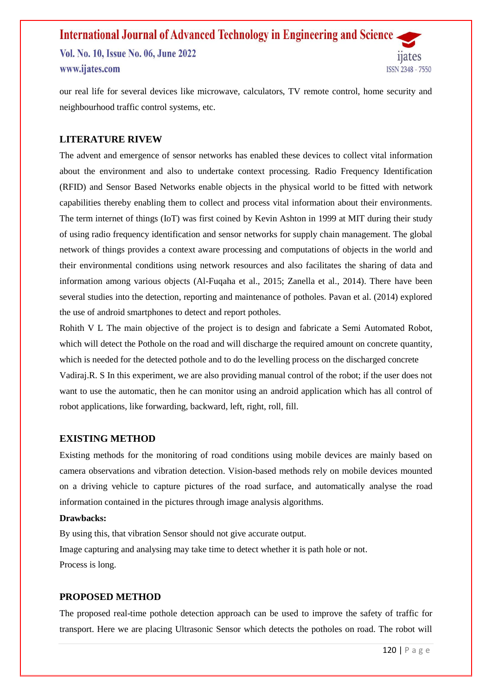## **International Journal of Advanced Technology in Engineering and Science** Vol. No. 10, Issue No. 06, June 2022 www.ijates.com **ISSN 2348 - 7550**

our real life for several devices like microwave, calculators, TV remote control, home security and neighbourhood traffic control systems, etc.

#### **LITERATURE RIVEW**

The advent and emergence of sensor networks has enabled these devices to collect vital information about the environment and also to undertake context processing. Radio Frequency Identification (RFID) and Sensor Based Networks enable objects in the physical world to be fitted with network capabilities thereby enabling them to collect and process vital information about their environments. The term internet of things (IoT) was first coined by Kevin Ashton in 1999 at MIT during their study of using radio frequency identification and sensor networks for supply chain management. The global network of things provides a context aware processing and computations of objects in the world and their environmental conditions using network resources and also facilitates the sharing of data and information among various objects (Al-Fuqaha et al., 2015; Zanella et al., 2014). There have been several studies into the detection, reporting and maintenance of potholes. Pavan et al. (2014) explored the use of android smartphones to detect and report potholes.

Rohith V L The main objective of the project is to design and fabricate a Semi Automated Robot, which will detect the Pothole on the road and will discharge the required amount on concrete quantity, which is needed for the detected pothole and to do the levelling process on the discharged concrete Vadiraj.R. S In this experiment, we are also providing manual control of the robot; if the user does not want to use the automatic, then he can monitor using an android application which has all control of robot applications, like forwarding, backward, left, right, roll, fill.

#### **EXISTING METHOD**

Existing methods for the monitoring of road conditions using mobile devices are mainly based on camera observations and vibration detection. Vision-based methods rely on mobile devices mounted on a driving vehicle to capture pictures of the road surface, and automatically analyse the road information contained in the pictures through image analysis algorithms.

#### **Drawbacks:**

By using this, that vibration Sensor should not give accurate output. Image capturing and analysing may take time to detect whether it is path hole or not. Process is long.

#### **PROPOSED METHOD**

The proposed real-time pothole detection approach can be used to improve the safety of traffic for transport. Here we are placing Ultrasonic Sensor which detects the potholes on road. The robot will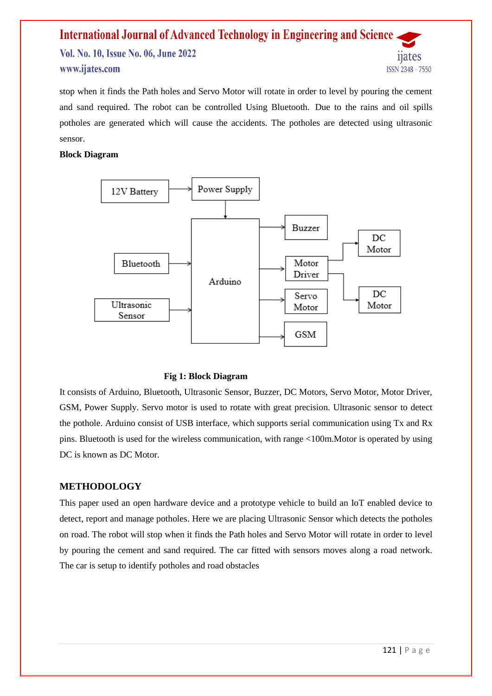#### **International Journal of Advanced Technology in Engineering and Science** Vol. No. 10, Issue No. 06, June 2022 11ates www.ijates.com **ISSN 2348 - 7550**

stop when it finds the Path holes and Servo Motor will rotate in order to level by pouring the cement and sand required. The robot can be controlled Using Bluetooth. Due to the rains and oil spills potholes are generated which will cause the accidents. The potholes are detected using ultrasonic sensor.

#### **Block Diagram**



#### **Fig 1: Block Diagram**

It consists of Arduino, Bluetooth, Ultrasonic Sensor, Buzzer, DC Motors, Servo Motor, Motor Driver, GSM, Power Supply. Servo motor is used to rotate with great precision. Ultrasonic sensor to detect the pothole. Arduino consist of USB interface, which supports serial communication using Tx and Rx pins. Bluetooth is used for the wireless communication, with range <100m.Motor is operated by using DC is known as DC Motor.

#### **METHODOLOGY**

This paper used an open hardware device and a prototype vehicle to build an IoT enabled device to detect, report and manage potholes. Here we are placing Ultrasonic Sensor which detects the potholes on road. The robot will stop when it finds the Path holes and Servo Motor will rotate in order to level by pouring the cement and sand required. The car fitted with sensors moves along a road network. The car is setup to identify potholes and road obstacles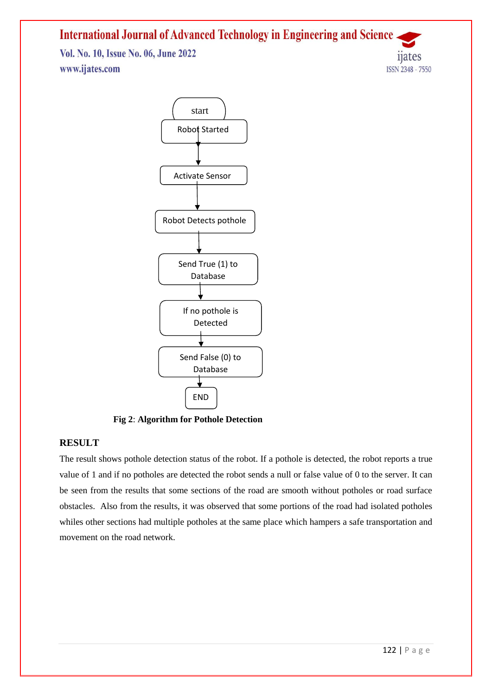Vol. No. 10, Issue No. 06, June 2022 www.ijates.com



**Fig 2**: **Algorithm for Pothole Detection**

#### **RESULT**

The result shows pothole detection status of the robot. If a pothole is detected, the robot reports a true value of 1 and if no potholes are detected the robot sends a null or false value of 0 to the server. It can be seen from the results that some sections of the road are smooth without potholes or road surface obstacles. Also from the results, it was observed that some portions of the road had isolated potholes whiles other sections had multiple potholes at the same place which hampers a safe transportation and movement on the road network.

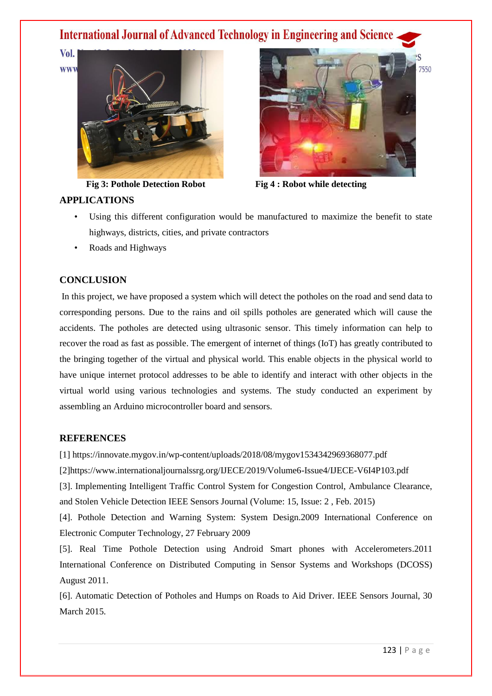Vol. **WWW** 



**Fig 3: Pothole Detection Robot Fig 4 : Robot while detecting** 

### **APPLICATIONS**

- Using this different configuration would be manufactured to maximize the benefit to state highways, districts, cities, and private contractors
- Roads and Highways

## **CONCLUSION**

In this project, we have proposed a system which will detect the potholes on the road and send data to corresponding persons. Due to the rains and oil spills potholes are generated which will cause the accidents. The potholes are detected using ultrasonic sensor. This timely information can help to recover the road as fast as possible. The emergent of internet of things (IoT) has greatly contributed to the bringing together of the virtual and physical world. This enable objects in the physical world to have unique internet protocol addresses to be able to identify and interact with other objects in the virtual world using various technologies and systems. The study conducted an experiment by assembling an Arduino microcontroller board and sensors.

## **REFERENCES**

[1]<https://innovate.mygov.in/wp-content/uploads/2018/08/mygov1534342969368077.pdf>

[2[\]https://www.internationaljournalssrg.org/IJECE/2019/Volume6-Issue4/IJECE-V6I4P103.pdf](https://www.internationaljournalssrg.org/IJECE/2019/Volume6-Issue4/IJECE-V6I4P103.pdf)

[3]. Implementing Intelligent Traffic Control System for Congestion Control, Ambulance Clearance, and Stolen Vehicle Detection IEEE Sensors Journal (Volume: 15, Issue: 2 , Feb. 2015)

[4]. Pothole Detection and Warning System: System Design.2009 International Conference on Electronic Computer Technology, 27 February 2009

[5]. Real Time Pothole Detection using Android Smart phones with Accelerometers.2011 International Conference on Distributed Computing in Sensor Systems and Workshops (DCOSS) August 2011.

[6]. Automatic Detection of Potholes and Humps on Roads to Aid Driver. IEEE Sensors Journal, 30 March 2015.